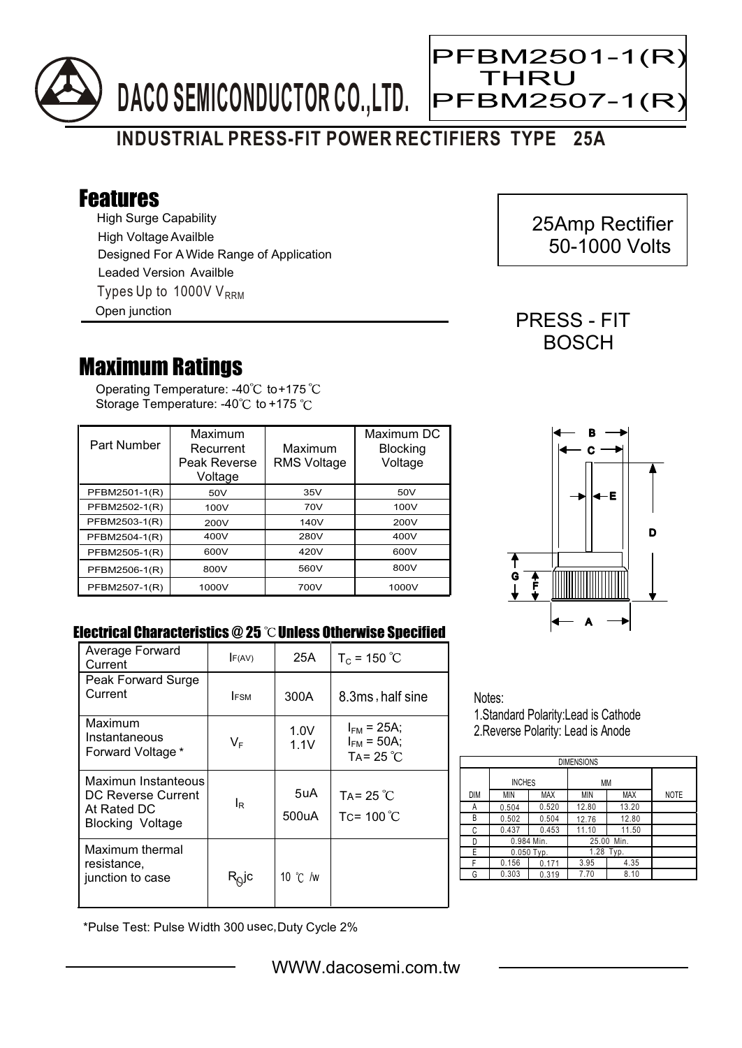

## **INDUSTRIAL PRESS-FIT POWER RECTIFIERS TYPE 25A**

## Features

High Surge Capability Types Up to 1000V  $V_{\text{RRM}}$ High Voltage Availble Designed For A Wide Range of Application Leaded Version Availble Open junction

## Maximum Ratings

Operating Temperature: -40 $^{\circ}$ C to+175 Storage Temperature: -40 $\degree$ C to +175  $\degree$ C

| Part Number   | Maximum<br>Recurrent<br>Peak Reverse<br>Voltage | Maximum<br><b>RMS Voltage</b> | Maximum DC<br><b>Blocking</b><br>Voltage |
|---------------|-------------------------------------------------|-------------------------------|------------------------------------------|
| PFBM2501-1(R) | 50V                                             | 35V                           | 50V                                      |
| PFBM2502-1(R) | 100V                                            | 70V                           | 100V                                     |
| PFBM2503-1(R) | 200V                                            | 140V                          | 200V                                     |
| PFBM2504-1(R) | 400V                                            | 280V                          | 400V                                     |
| PFBM2505-1(R) | 600V                                            | 420V                          | 600V                                     |
| PFBM2506-1(R) | 800V                                            | 560V                          | 800V                                     |
| PFBM2507-1(R) | 1000V                                           | 700V                          | 1000V                                    |



## Electrical Characteristics  $@25$   $^{\circ}\text{C}$  Unless Otherwise Specified

| Average Forward<br>Current                                                          | F(AV)          | 25A               | $T_c = 150 °C$                                            |
|-------------------------------------------------------------------------------------|----------------|-------------------|-----------------------------------------------------------|
| Peak Forward Surge<br>Current                                                       | <b>IFSM</b>    | 300A              | 8.3ms, half sine                                          |
|                                                                                     |                |                   |                                                           |
| Maximum<br>Instantaneous<br>Forward Voltage *                                       | VF             | 1.0V<br>1.1V      | $I_{FM}$ = 25A;<br>$I_{FM}$ = 50A;<br>TA = $25^{\circ}$ C |
| Maximun Instanteous<br>DC Reverse Current<br>At Rated DC<br><b>Blocking Voltage</b> | l <sub>R</sub> | 5uA<br>500uA      | TA= $25^{\circ}$ C<br>Tc= $100^{\circ}$ C                 |
| Maximum thermal<br>resistance.<br>junction to case                                  | א∂]c           | 10 $\degree$ C /w |                                                           |

Notes: 1.Standard Polarity:Lead is Cathode

2.Reverse Polarity: Lead is Anode

| <b>DIMENSIONS</b> |               |       |               |       |             |  |  |  |  |
|-------------------|---------------|-------|---------------|-------|-------------|--|--|--|--|
|                   | <b>INCHES</b> |       | МM            |       |             |  |  |  |  |
| <b>DIM</b>        | MIN           | MAX   | MIN           | MAX   | <b>NOTE</b> |  |  |  |  |
| А                 | 0.504         | 0.520 | 12.80         | 13.20 |             |  |  |  |  |
| В                 | 0.502         | 0.504 | 12.76         | 12.80 |             |  |  |  |  |
| С                 | 0.437         | 0.453 | 11.10         | 11.50 |             |  |  |  |  |
| D                 | 0.984 Min.    |       | 25.00<br>Min. |       |             |  |  |  |  |
| E                 | $0.050$ Typ.  |       | 1.28 Typ.     |       |             |  |  |  |  |
| F                 | 0.156         | 0.171 | 3.95          | 4.35  |             |  |  |  |  |
| G                 | 0.303         | 0.319 | 7.70          | 8.10  |             |  |  |  |  |

\*Pulse Test: Pulse Width 300 usec,Duty Cycle 2%

 25Amp Rectifier 50-1000 Volts

PRESS - FIT **BOSCH** 

THRU

Ξ